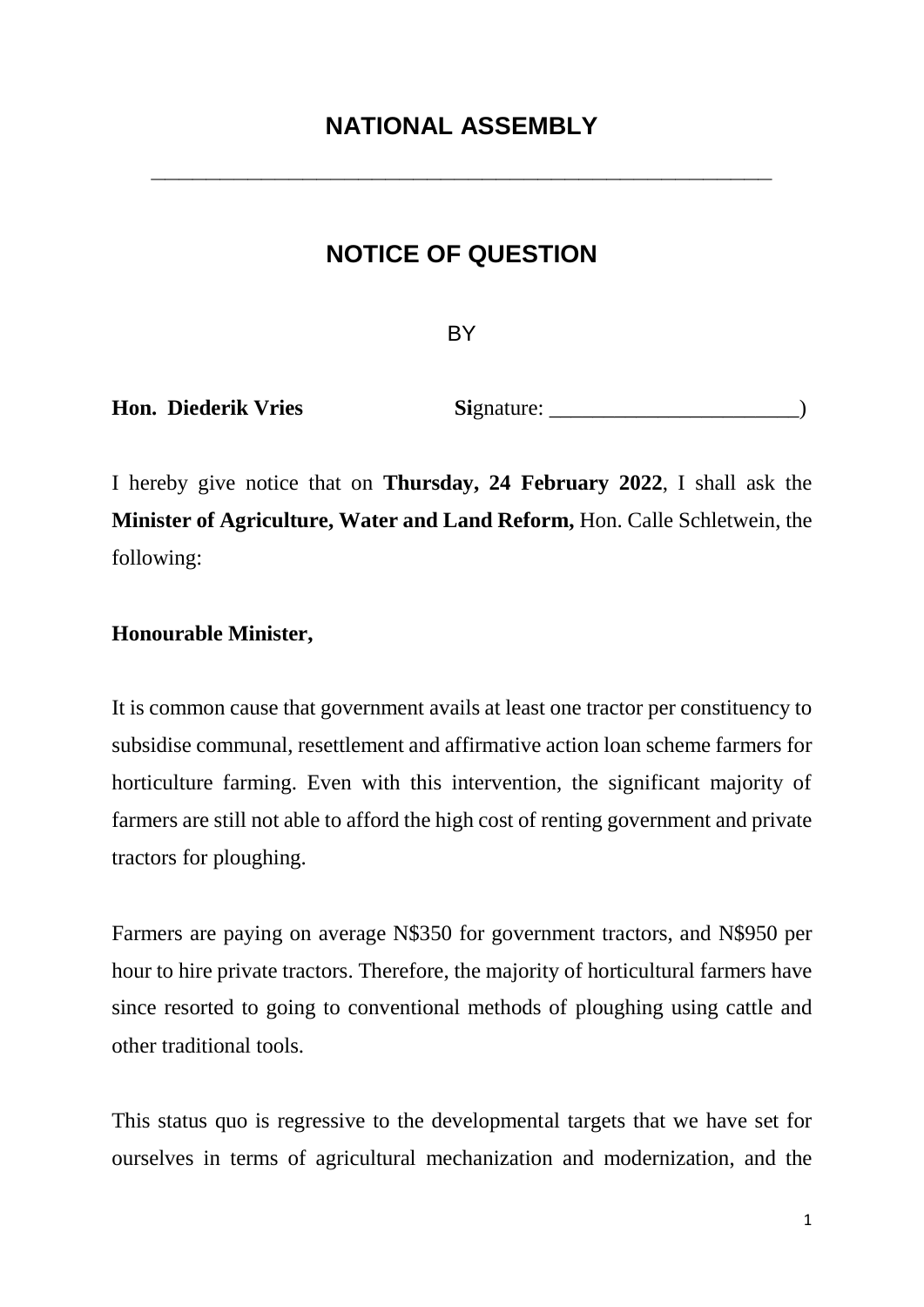**\_\_\_\_\_\_\_\_\_\_\_\_\_\_\_\_\_\_\_\_\_\_\_\_\_\_\_\_\_\_\_\_\_\_\_\_\_\_\_\_\_\_\_\_\_**

## **NOTICE OF QUESTION**

**BY** 

**Hon. Diederik Vries Signature:** 

I hereby give notice that on **Thursday, 24 February 2022**, I shall ask the **Minister of Agriculture, Water and Land Reform,** Hon. Calle Schletwein, the following:

## **Honourable Minister,**

It is common cause that government avails at least one tractor per constituency to subsidise communal, resettlement and affirmative action loan scheme farmers for horticulture farming. Even with this intervention, the significant majority of farmers are still not able to afford the high cost of renting government and private tractors for ploughing.

Farmers are paying on average N\$350 for government tractors, and N\$950 per hour to hire private tractors. Therefore, the majority of horticultural farmers have since resorted to going to conventional methods of ploughing using cattle and other traditional tools.

This status quo is regressive to the developmental targets that we have set for ourselves in terms of agricultural mechanization and modernization, and the